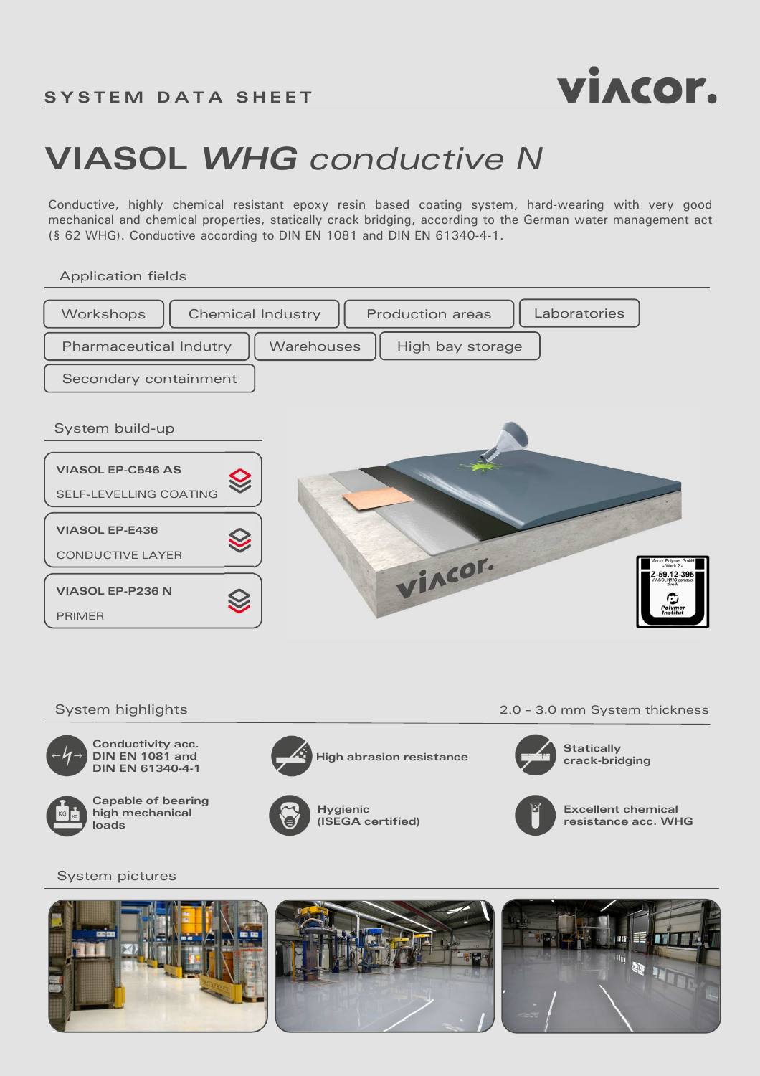

# **VIASOL** *WHG conductive N*

Conductive, highly chemical resistant epoxy resin based coating system, hard-wearing with very good mechanical and chemical properties, statically crack bridging, according to the German water management act (§ 62 WHG). Conductive according to DIN EN 1081 and DIN EN 61340-4-1.

Application fields





**Conductivity acc. DIN EN 1081 and DIN EN 61340-4-1** 



**Capable of bearing high mechanical** 



**High abrasion resistance**



System highlights 2.0 – 3.0 mm System thickness



**Statically crack-bridging**



**Excellent chemical resistance acc. WHG**

### System pictures

**loads**